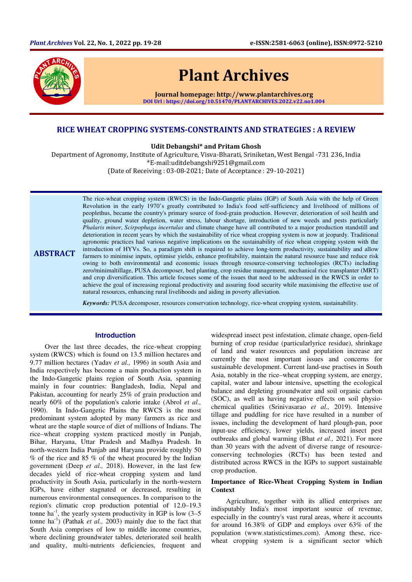

**ABSTRACT** 

# Plant Archives

Journal homepage: http://www.plantarchives.org DOI Url : https://doi.org/10.51470/PLANTARCHIVES.2022.v22.no1.004

## RICE WHEAT CROPPING SYSTEMS-CONSTRAINTS AND STRATEGIES : A REVIEW

Udit Debangshi\* and Pritam Ghosh

Department of Agronomy, Institute of Agriculture, Visva-Bharati, Sriniketan, West Bengal -731 236, India \*E-mail:uditdebangshi9251@gmail.com

(Date of Receiving : 03-08-2021; Date of Acceptance : 29-10-2021)

The rice-wheat cropping system (RWCS) in the Indo-Gangetic plains (IGP) of South Asia with the help of Green Revolution in the early 1970's greatly contributed to India's food self-sufficiency and livelihood of millions of peoplethus, became the country's primary source of food-grain production. However, deterioration of soil health and quality, ground water depletion, water stress, labour shortage, introduction of new weeds and pests particularly *Phalaris minor*, *Scirpophaga incertulas* and climate change have all contributed to a major production standstill and deterioration in recent years by which the sustainability of rice wheat cropping system is now at jeopardy. Traditional agronomic practices had various negative implications on the sustainability of rice wheat cropping system with the introduction of HYVs. So, a paradigm shift is required to achieve long-term productivity, sustainability and allow farmers to minimise inputs, optimise yields, enhance profitability, maintain the natural resource base and reduce risk owing to both environmental and economic issues through resource-conserving technologies (RCTs) including zero/minimaltillage, PUSA decomposer, bed planting, crop residue management, mechanical rice transplanter (MRT) and crop diversification. This article focuses some of the issues that need to be addressed in the RWCS in order to achieve the goal of increasing regional productivity and assuring food security while maximising the effective use of natural resources, enhancing rural livelihoods and aiding in poverty alleviation.

*Keywords:* PUSA decomposer, resources conservation technology, rice-wheat cropping system, sustainability.

## **Introduction**

Over the last three decades, the rice-wheat cropping system (RWCS) which is found on 13.5 million hectares and 9.77 million hectares (Yadav *et al.,* 1996) in south Asia and India respectively has become a main production system in the Indo-Gangetic plains region of South Asia, spanning mainly in four countries: Bangladesh, India, Nepal and Pakistan, accounting for nearly 25% of grain production and nearly 60% of the population's calorie intake (Abrol *et al.,* 1990). In Indo-Gangetic Plains the RWCS is the most predominant system adopted by many farmers as rice and wheat are the staple source of diet of millions of Indians. The rice–wheat cropping system practiced mostly in Punjab, Bihar, Haryana, Uttar Pradesh and Madhya Pradesh. In north-western India Punjab and Haryana provide roughly 50 % of the rice and 85 % of the wheat procured by the Indian government (Deep *et al.,* 2018). However, in the last few decades yield of rice-wheat cropping system and land productivity in South Asia, particularly in the north-western IGPs, have either stagnated or decreased, resulting in numerous environmental consequences. In comparison to the region's climatic crop production potential of 12.0–19.3 tonne ha<sup>-1</sup>, the yearly system productivity in IGP is low  $(3-5)$ tonne ha-1) (Pathak *et al.,* 2003) mainly due to the fact that South Asia comprises of low to middle income countries, where declining groundwater tables, deteriorated soil health and quality, multi-nutrients deficiencies, frequent and

widespread insect pest infestation, climate change, open-field burning of crop residue (particularlyrice residue), shrinkage of land and water resources and population increase are currently the most important issues and concerns for sustainable development. Current land-use practises in South Asia, notably in the rice–wheat cropping system, are energy, capital, water and labour intensive, upsetting the ecological balance and depleting groundwater and soil organic carbon (SOC), as well as having negative effects on soil physiochemical qualities (Srinivasarao *et al.,* 2019). Intensive tillage and puddling for rice have resulted in a number of issues, including the development of hard plough-pan, poor input-use efficiency, lower yields, increased insect pest outbreaks and global warming (Bhat *et al.,* 2021). For more than 30 years with the advent of diverse range of resourceconserving technologies (RCTs) has been tested and distributed across RWCS in the IGPs to support sustainable crop production.

## **Importance of Rice-Wheat Cropping System in Indian Context**

Agriculture, together with its allied enterprises are indisputably India's most important source of revenue, especially in the country's vast rural areas, where it accounts for around 16.38% of GDP and employs over 63% of the population (www.statisticstimes.com). Among these, ricewheat cropping system is a significant sector which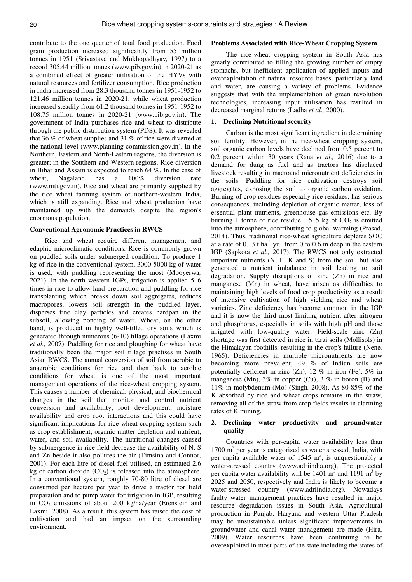contribute to the one quarter of total food production. Food grain production increased significantly from 55 million tonnes in 1951 (Srivastava and Mukhopadhyay*,* 1997) to a record 305.44 million tonnes (www.pib.gov.in) in 2020-21 as a combined effect of greater utilisation of the HYVs with natural resources and fertilizer consumption. Rice production in India increased from 28.3 thousand tonnes in 1951-1952 to 121.46 million tonnes in 2020-21, while wheat production increased steadily from 61.2 thousand tonnes in 1951-1952 to 108.75 million tonnes in 2020-21 (www.pib.gov.in). The government of India purchases rice and wheat to distribute through the public distribution system (PDS). It was revealed that 36 % of wheat supplies and 31 % of rice were diverted at the national level (www.planning commission.gov.in). In the Northern, Eastern and North-Eastern regions, the diversion is greater; in the Southern and Western regions. Rice diversion in Bihar and Assam is expected to reach 64 %. In the case of wheat, Nagaland has a 100% diversion rate (www.niti.gov.in). Rice and wheat are primarily supplied by the rice wheat farming system of northern-western India, which is still expanding. Rice and wheat production have maintained up with the demands despite the region's enormous population.

#### **Conventional Agronomic Practices in RWCS**

Rice and wheat require different management and edaphic microclimatic conditions. Rice is commonly grown on puddled soils under submerged condition. To produce 1 kg of rice in the conventional system, 3000-5000 kg of water is used, with puddling representing the most (Mboyerwa*,* 2021). In the north western IGPs, irrigation is applied 5–6 times in rice to allow land preparation and puddling for rice transplanting which breaks down soil aggregates, reduces macropores, lowers soil strength in the puddled layer, disperses fine clay particles and creates hardpan in the subsoil, allowing ponding of water. Wheat, on the other hand, is produced in highly well-tilled dry soils which is generated through numerous (6-10) tillage operations (Laxmi *et al.,* 2007). Puddling for rice and ploughing for wheat have traditionally been the major soil tillage practises in South Asian RWCS. The annual conversion of soil from aerobic to anaerobic conditions for rice and then back to aerobic conditions for wheat is one of the most important management operations of the rice-wheat cropping system. This causes a number of chemical, physical, and biochemical changes in the soil that monitor and control nutrient conversion and availability, root development, moisture availability and crop root interactions and this could have significant implications for rice-wheat cropping system such as crop establishment, organic matter depletion and nutrient, water, and soil availability. The nutritional changes caused by submergence in rice field decrease the availability of N, S and Zn beside it also pollutes the air (Timsina and Connor, 2001). For each litre of diesel fuel utilised, an estimated 2.6 kg of carbon dioxide  $(CO<sub>2</sub>)$  is released into the atmosphere. In a conventional system, roughly 70-80 litre of diesel are consumed per hectare per year to drive a tractor for field preparation and to pump water for irrigation in IGP, resulting in  $CO<sub>2</sub>$  emissions of about 200 kg/ha/year (Erenstein and Laxmi, 2008). As a result, this system has raised the cost of cultivation and had an impact on the surrounding environment.

# **Problems Associated with Rice-Wheat Cropping System**

The rice-wheat cropping system in South Asia has greatly contributed to filling the growing number of empty stomachs, but inefficient application of applied inputs and overexploitation of natural resource bases, particularly land and water, are causing a variety of problems. Evidence suggests that with the implementation of green revolution technologies, increasing input utilisation has resulted in decreased marginal returns (Ladha *et al.,* 2000).

## **1. Declining Nutritional security**

Carbon is the most significant ingredient in determining soil fertility. However, in the rice-wheat cropping system, soil organic carbon levels have declined from 0.5 percent to 0.2 percent within 30 years (Rana *et al.,* 2016) due to a demand for dung as fuel and as tractors has displaced livestock resulting in macroand micronutrient deficiencies in the soils. Puddling for rice cultivation destroys soil aggregates, exposing the soil to organic carbon oxidation. Burning of crop residues especially rice residues, has serious consequences, including depletion of organic matter, loss of essential plant nutrients, greenhouse gas emissions etc. By burning 1 tonne of rice residue, 1515 kg of  $CO<sub>2</sub>$  is emitted into the atmosphere, contributing to global warming (Prasad*,* 2014). Thus, traditional rice-wheat agriculture depletes SOC at a rate of  $0.13$  t ha<sup>-1</sup> yr<sup>-1</sup> from 0 to 0.6 m deep in the eastern IGP (Sapkota *et al.,* 2017). The RWCS not only extracted important nutrients (N, P, K and S) from the soil, but also generated a nutrient imbalance in soil leading to soil degradation. Supply disruptions of zinc (Zn) in rice and manganese (Mn) in wheat, have arisen as difficulties to maintaining high levels of food crop productivity as a result of intensive cultivation of high yielding rice and wheat varieties. Zinc deficiency has become common in the IGP and it is now the third most limiting nutrient after nitrogen and phosphorus, especially in soils with high pH and those irrigated with low-quality water. Field-scale zinc (Zn) shortage was first detected in rice in tarai soils (Mollisols) in the Himalayan foothills, resulting in the crop's failure (Nene*,*  1965). Deficiencies in multiple micronutrients are now becoming more prevalent, 49 % of Indian soils are potentially deficient in zinc (Zn), 12 % in iron (Fe), 5% in manganese (Mn),  $3\%$  in copper (Cu),  $3\%$  in boron (B) and 11% in molybdenum (Mo) (Singh*,* 2008). As 80-85% of the K absorbed by rice and wheat crops remains in the straw, removing all of the straw from crop fields results in alarming rates of K mining.

## **2. Declining water productivity and groundwater quality**

Countries with per-capita water availability less than 1700 m<sup>3</sup> per year is categorized as water stressed, India, with per capita available water of 1545  $m^3$ , is unquestionably a water-stressed country (www.adriindia.org). The projected per capita water availability will be  $1401 \text{ m}^3$  and  $1191 \text{ m}^3$  by 2025 and 2050, respectively and India is likely to become a water-stressed country (www.adriindia.org). Nowadays faulty water management practices have resulted in major resource degradation issues in South Asia. Agricultural production in Punjab, Haryana and western Uttar Pradesh may be unsustainable unless significant improvements in groundwater and canal water management are made (Hira*,*  2009). Water resources have been continuing to be overexploited in most parts of the state including the states of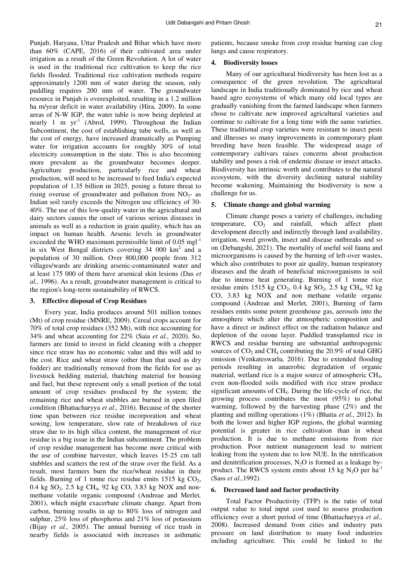Punjab, Haryana, Uttar Pradesh and Bihar which have more than 60% (CAPE, 2016) of their cultivated area under irrigation as a result of the Green Revolution. A lot of water is used in the traditional rice cultivation to keep the rice fields flooded. Traditional rice cultivation methods require approximately 1200 mm of water during the season, only puddling requires 200 mm of water. The groundwater resource in Punjab is overexploited, resulting in a 1.2 million ha m/year deficit in water availability (Hira*,* 2009). In some areas of N-W IGP, the water table is now being depleted at nearly 1 m yr-1 (Abrol*,* 1999). Throughout the Indian Subcontinent, the cost of establishing tube wells, as well as the cost of energy, have increased dramatically as Pumping water for irrigation accounts for roughly 30% of total electricity consumption in the state. This is also becoming more prevalent as the groundwater becomes deeper. Agriculture production, particularly rice and wheat production, will need to be increased to feed India's expected population of 1.35 billion in 2025, posing a future threat to rising overuse of groundwater and pollution from  $NO<sub>3</sub>$ - as Indian soil rarely exceeds the Nitrogen use efficiency of 30- 40%. The use of this low-quality water in the agricultural and dairy sectors causes the onset of various serious diseases in animals as well as a reduction in grain quality, which has an impact on human health. Arsenic levels in groundwater exceeded the WHO maximum permissible limit of  $0.05 \text{ mgl}^{-1}$ in six West Bengal districts covering  $34,000$  km<sup>2</sup> and a population of 30 million. Over 800,000 people from 312 villages/wards are drinking arsenic-contaminated water and at least 175 000 of them have arsenical skin lesions (Das *et al.,* 1996). As a result, groundwater management is critical to the region's long-term sustainability of RWCS.

#### **3. Effective disposal of Crop Residues**

Every year, India produces around 501 million tonnes (Mt) of crop residue (MNRE, 2009). Cereal crops account for 70% of total crop residues (352 Mt), with rice accounting for 34% and wheat accounting for 22% (Saia *et al.,* 2020). So, farmers are timid to invest in field cleaning with a chopper since rice straw has no economic value and this will add to the cost. Rice and wheat straw (other than that used as dry fodder) are traditionally removed from the fields for use as livestock bedding material, thatching material for housing and fuel, but these represent only a small portion of the total amount of crop residues produced by the system; the remaining rice and wheat stubbles are burned in open filed condition (Bhattacharyya *et al.,* 2016). Because of the shorter time span between rice residue incorporation and wheat sowing, low temperature, slow rate of breakdown of rice straw due to its high silica content, the management of rice residue is a big issue in the Indian subcontinent. The problem of crop residue management has become more critical with the use of combine harvester, which leaves 15-25 cm tall stubbles and scatters the rest of the straw over the field. As a result, most farmers burn the rice/wheat residue in their fields. Burning of 1 tonne rice residue emits  $1515$  kg  $CO<sub>2</sub>$ , 0.4 kg SO<sub>2</sub>, 2.5 kg CH<sub>4</sub>, 92 kg CO, 3.83 kg NOX and nonmethane volatile organic compound (Andreae and Merlet*,*  2001), which might exacerbate climate change. Apart from carbon, burning results in up to 80% loss of nitrogen and sulphur, 25% loss of phosphorus and 21% loss of potassium (Bijay *et al.,* 2005). The annual burning of rice trash in nearby fields is associated with increases in asthmatic

patients, because smoke from crop residue burning can clog lungs and cause respiratory.

## **4. Biodiversity losses**

Many of our agricultural biodiversity has been lost as a consequence of the green revolution. The agricultural landscape in India traditionally dominated by rice and wheat based agro ecosystems of which many old local types are gradually vanishing from the farmed landscape when farmers chose to cultivate new improved agricultural varieties and continue to cultivate for a long time with the same varieties. These traditional crop varieties were resistant to insect pests and illnesses so many improvements in contemporary plant breeding have been feasible. The widespread usage of contemporary cultivars raises concerns about production stability and poses a risk of endemic disease or insect attacks. Biodiversity has intrinsic worth and contributes to the natural ecosystem, with the diversity declining natural stability become wakening. Maintaining the biodiversity is now a challenge for us.

## **5. Climate change and global warming**

Climate change poses a variety of challenges, including temperature,  $CO<sub>2</sub>$  and rainfall, which affect plant development directly and indirectly through land availability, irrigation, weed growth, insect and disease outbreaks and so on (Debangshi, 2021). The mortality of useful soil fauna and microorganisms is caused by the burning of left-over wastes, which also contributes to poor air quality, human respiratory diseases and the death of beneficial microorganisms in soil due to intense heat generating. Burning of 1 tonne rice residue emits 1515 kg  $CO_2$ , 0.4 kg  $SO_2$ , 2.5 kg  $CH_4$ , 92 kg CO, 3.83 kg NOX and non methane volatile organic compound (Andreae and Merlet*,* 2001), Burning of farm residues emits some potent greenhouse gas, aerosols into the atmosphere which alter the atmospheric composition and have a direct or indirect effect on the radiation balance and depletion of the ozone layer. Puddled transplanted rice in RWCS and residue burning are substantial anthropogenic sources of  $CO<sub>2</sub>$  and  $CH<sub>4</sub>$  contributing the 20.9% of total GHG emission (Venkateswarlu*,* 2016). Due to extended flooding periods resulting in anaerobic degradation of organic material, wetland rice is a major source of atmospheric  $CH<sub>4</sub>$ , even non-flooded soils modified with rice straw produce significant amounts of CH4. During the life-cycle of rice, the growing process contributes the most (95%) to global warming, followed by the harvesting phase (2%) and the planting and milling operations (1%) (Bhatia *et al.,* 2012). In both the lower and higher IGP regions, the global warming potential is greater in rice cultivation than in wheat production. It is due to methane emissions from rice production. Poor nutrient management lead to nutrient leaking from the system due to low NUE. In the nitrification and denitrification processes,  $N_2O$  is formed as a leakage byproduct. The RWCS system emits about 15 kg  $N_2O$  per ha<sup>-1</sup> (Sass *et al.,*1992).

## **6. Decreased land and factor productivity**

Total Factor Productivity (TFP) is the ratio of total output value to total input cost used to assess production efficiency over a short period of time (Bhattacharyya *et al.,* 2008). Increased demand from cities and industry puts pressure on land distribution to many food industries including agriculture. This could be linked to the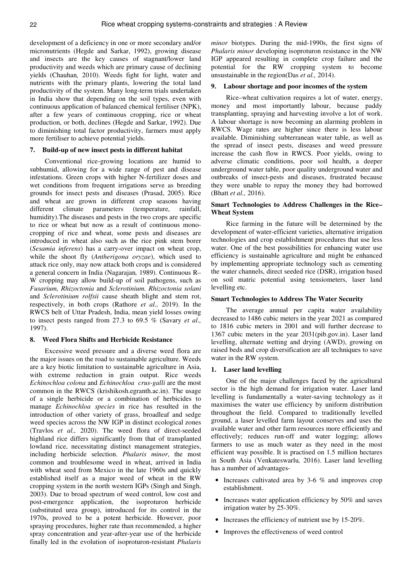development of a deficiency in one or more secondary and/or micronutrients (Hegde and Sarkar, 1992), growing disease and insects are the key causes of stagnant/lower land productivity and weeds which are primary cause of declining yields (Chauhan*,* 2010). Weeds fight for light, water and nutrients with the primary plants, lowering the total land productivity of the system. Many long-term trials undertaken in India show that depending on the soil types, even with continuous application of balanced chemical fertiliser (NPK), after a few years of continuous cropping, rice or wheat production, or both, declines (Hegde and Sarkar, 1992). Due to diminishing total factor productivity, farmers must apply more fertiliser to achieve potential yields.

#### **7. Build-up of new insect pests in different habitat**

Conventional rice-growing locations are humid to subhumid, allowing for a wide range of pest and disease infestations. Green crops with higher N-fertilizer doses and wet conditions from frequent irrigations serve as breeding grounds for insect pests and diseases (Prasad, 2005). Rice and wheat are grown in different crop seasons having different climate parameters (temperature, rainfall, humidity).The diseases and pests in the two crops are specific to rice or wheat but now as a result of continuous monocropping of rice and wheat, some pests and diseases are introduced in wheat also such as the rice pink stem borer (*Sesamia inferens*) has a carry-over impact on wheat crop, while the shoot fly (*Antherigona oryzae*), which used to attack rice only, may now attack both crops and is considered a general concern in India (Nagarajan*,* 1989). Continuous R– W cropping may allow build-up of soil pathogens, such as *Fusarium, Rhizoctonia* and *Sclerotinium. Rhizoctonia solani*  and *Sclerotinium rolfsii* cause sheath blight and stem rot, respectively, in both crops (Rathore *et al.,* 2019). In the RWCS belt of Uttar Pradesh, India, mean yield losses owing to insect pests ranged from 27.3 to 69.5 % (Savary *et al.,*  1997).

#### **8. Weed Flora Shifts and Herbicide Resistance**

Excessive weed pressure and a diverse weed flora are the major issues on the road to sustainable agriculture. Weeds are a key biotic limitation to sustainable agriculture in Asia, with extreme reduction in grain output. Rice weeds *Echinochloa colona* and *Echinochloa crus-galli* are the most common in the RWCS (krishikosh.egranth.ac.in). The usage of a single herbicide or a combination of herbicides to manage *Echinochloa species* in rice has resulted in the introduction of other variety of grass, broadleaf and sedge weed species across the NW IGP in distinct ecological zones (Travlos *et al.,* 2020). The weed flora of direct-seeded highland rice differs significantly from that of transplanted lowland rice, necessitating distinct management strategies, including herbicide selection. *Phalaris minor*, the most common and troublesome weed in wheat, arrived in India with wheat seed from Mexico in the late 1960s and quickly established itself as a major weed of wheat in the RW cropping system in the north western IGPs (Singh and Singh, 2003). Due to broad spectrum of weed control, low cost and post-emergence application, the isoproturon herbicide (substituted urea group), introduced for its control in the 1970s, proved to be a potent herbicide. However, poor spraying procedures, higher rate than recommended, a higher spray concentration and year-after-year use of the herbicide finally led in the evolution of isoproturon-resistant *Phalaris* 

*minor* biotypes. During the mid-1990s, the first signs of *Phalaris minor* developing isoproturon resistance in the NW IGP appeared resulting in complete crop failure and the potential for the RW cropping system to become unsustainable in the region(Das *et al.,* 2014).

#### **9. Labour shortage and poor incomes of the system**

Rice–wheat cultivation requires a lot of water, energy, money and most importantly labour, because paddy transplanting, spraying and harvesting involve a lot of work. A labour shortage is now becoming an alarming problem in RWCS. Wage rates are higher since there is less labour available. Diminishing subterranean water table, as well as the spread of insect pests, diseases and weed pressure increase the cash flow in RWCS. Poor yields, owing to adverse climatic conditions, poor soil health, a deeper underground water table, poor quality underground water and outbreaks of insect-pests and diseases, frustrated because they were unable to repay the money they had borrowed (Bhatt *et al.,* 2016).

## **Smart Technologies to Address Challenges in the Rice– Wheat System**

Rice farming in the future will be determined by the development of water-efficient varieties, alternative irrigation technologies and crop establishment procedures that use less water. One of the best possibilities for enhancing water use efficiency is sustainable agriculture and might be enhanced by implementing appropriate technology such as cementing the water channels, direct seeded rice (DSR), irrigation based on soil matric potential using tensiometers, laser land levelling etc.

## **Smart Technologies to Address The Water Security**

The average annual per capita water availability decreased to 1486 cubic meters in the year 2021 as compared to 1816 cubic meters in 2001 and will further decrease to 1367 cubic meters in the year 2031(pib.gov.in). Laser land levelling, alternate wetting and drying (AWD), growing on raised beds and crop diversification are all techniques to save water in the RW system.

#### **1. Laser land levelling**

One of the major challenges faced by the agricultural sector is the high demand for irrigation water. Laser land levelling is fundamentally a water-saving technology as it maximises the water use efficiency by uniform distribution throughout the field. Compared to traditionally levelled ground, a laser levelled farm layout conserves and uses the available water and other farm resources more efficiently and effectively; reduces run-off and water logging; allows farmers to use as much water as they need in the most efficient way possible. It is practised on 1.5 million hectares in South Asia (Venkateswarlu*,* 2016). Laser land levelling has a number of advantages-

- Increases cultivated area by 3-6  $%$  and improves crop establishment.
- Increases water application efficiency by 50% and saves irrigation water by 25-30%.
- Increases the efficiency of nutrient use by 15-20%.
- Improves the effectiveness of weed control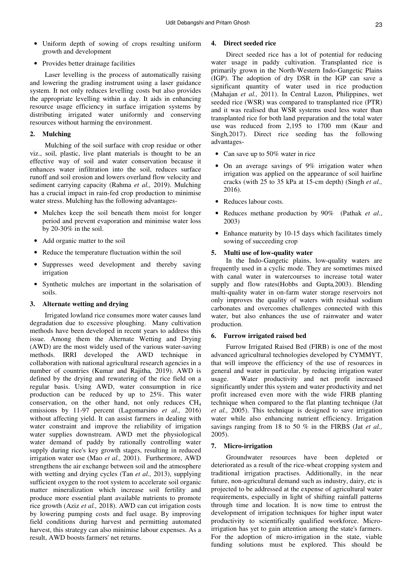- Uniform depth of sowing of crops resulting uniform growth and development
- Provides better drainage facilities

Laser levelling is the process of automatically raising and lowering the grading instrument using a laser guidance system. It not only reduces levelling costs but also provides the appropriate levelling within a day. It aids in enhancing resource usage efficiency in surface irrigation systems by distributing irrigated water uniformly and conserving resources without harming the environment.

## **2. Mulching**

Mulching of the soil surface with crop residue or other viz., soil, plastic, live plant materials is thought to be an effective way of soil and water conservation because it enhances water infiltration into the soil, reduces surface runoff and soil erosion and lowers overland flow velocity and sediment carrying capacity (Rahma *et al.,* 2019). Mulching has a crucial impact in rain-fed crop production to minimise water stress. Mulching has the following advantages-

- Mulches keep the soil beneath them moist for longer period and prevent evaporation and minimise water loss by 20-30% in the soil.
- Add organic matter to the soil
- Reduce the temperature fluctuation within the soil
- Suppresses weed development and thereby saving irrigation
- Synthetic mulches are important in the solarisation of soils.

## **3. Alternate wetting and drying**

Irrigated lowland rice consumes more water causes land degradation due to excessive ploughing. Many cultivation methods have been developed in recent years to address this issue. Among them the Alternate Wetting and Drying (AWD) are the most widely used of the various water-saving methods. IRRI developed the AWD technique in collaboration with national agricultural research agencies in a number of countries (Kumar and Rajitha*,* 2019). AWD is defined by the drying and rewatering of the rice field on a regular basis. Using AWD, water consumption in rice production can be reduced by up to 25%. This water conservation, on the other hand, not only reduces  $CH<sub>4</sub>$ emissions by 11-97 percent (Lagomarsino *et al.,* 2016) without affecting yield. It can assist farmers in dealing with water constraint and improve the reliability of irrigation water supplies downstream. AWD met the physiological water demand of paddy by rationally controlling water supply during rice's key growth stages, resulting in reduced irrigation water use (Mao *et al.,* 2001). Furthermore, AWD strengthens the air exchange between soil and the atmosphere with wetting and drying cycles (Tan *et al.,* 2013), supplying sufficient oxygen to the root system to accelerate soil organic matter mineralization which increase soil fertility and produce more essential plant available nutrients to promote rice growth (Aziz *et al.,* 2018). AWD can cut irrigation costs by lowering pumping costs and fuel usage. By improving field conditions during harvest and permitting automated harvest, this strategy can also minimise labour expenses. As a result, AWD boosts farmers' net returns.

#### **4. Direct seeded rice**

Direct seeded rice has a lot of potential for reducing water usage in paddy cultivation. Transplanted rice is primarily grown in the North-Western Indo-Gangetic Plains (IGP). The adoption of dry DSR in the IGP can save a significant quantity of water used in rice production (Mahajan *et al.,* 2011). In Central Luzon, Philippines, wet seeded rice (WSR) was compared to transplanted rice (PTR) and it was realised that WSR systems used less water than transplanted rice for both land preparation and the total water use was reduced from 2,195 to 1700 mm (Kaur and Singh*,*2017). Direct rice seeding has the following advantages-

- Can save up to 50% water in rice
- On an average savings of 9% irrigation water when irrigation was applied on the appearance of soil hairline cracks (with 25 to 35 kPa at 15-cm depth) (Singh *et al.,*  2016).
- Reduces labour costs.
- Reduces methane production by 90% (Pathak *et al*., 2003)
- Enhance maturity by 10-15 days which facilitates timely sowing of succeeding crop

## **5. Multi use of low-quality water**

In the Indo-Gangetic plains, low-quality waters are frequently used in a cyclic mode. They are sometimes mixed with canal water in watercourses to increase total water supply and flow rates(Hobbs and Gupta*,*2003). Blending multi-quality water in on-farm water storage reservoirs not only improves the quality of waters with residual sodium carbonates and overcomes challenges connected with this water, but also enhances the use of rainwater and water production.

## **6. Furrow irrigated raised bed**

Furrow Irrigated Raised Bed (FIRB) is one of the most advanced agricultural technologies developed by CYMMYT, that will improve the efficiency of the use of resources in general and water in particular, by reducing irrigation water usage. Water productivity and net profit increased significantly under this system and water productivity and net profit increased even more with the wide FIRB planting technique when compared to the flat planting technique (Jat *et al.,* 2005). This technique is designed to save irrigation water while also enhancing nutrient efficiency. Irrigation savings ranging from 18 to 50 % in the FIRBS (Jat *et al.,* 2005).

#### **7. Micro-irrigation**

Groundwater resources have been depleted or deteriorated as a result of the rice-wheat cropping system and traditional irrigation practises. Additionally, in the near future, non-agricultural demand such as industry, dairy, etc is projected to be addressed at the expense of agricultural water requirements, especially in light of shifting rainfall patterns through time and location. It is now time to entrust the development of irrigation techniques for higher input water productivity to scientifically qualified workforce. Microirrigation has yet to gain attention among the state's farmers. For the adoption of micro-irrigation in the state, viable funding solutions must be explored. This should be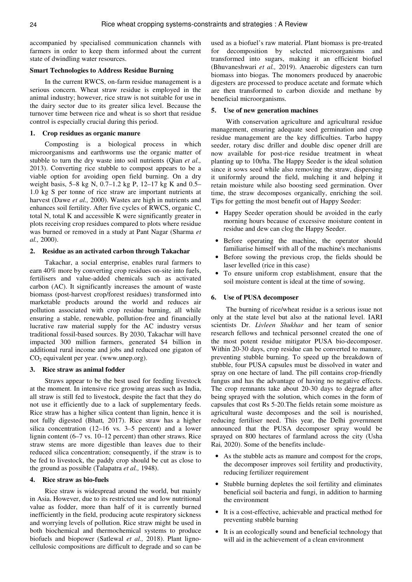accompanied by specialised communication channels with farmers in order to keep them informed about the current state of dwindling water resources.

#### **Smart Technologies to Address Residue Burning**

In the current RWCS, on-farm residue management is a serious concern. Wheat straw residue is employed in the animal industry; however, rice straw is not suitable for use in the dairy sector due to its greater silica level. Because the turnover time between rice and wheat is so short that residue control is especially crucial during this period.

#### **1. Crop residues as organic manure**

Composting is a biological process in which microorganisms and earthworms use the organic matter of stubble to turn the dry waste into soil nutrients (Qian *et al.,*  2013). Converting rice stubble to compost appears to be a viable option for avoiding open field burning. On a dry weight basis, 5–8 kg N, 0.7–1.2 kg P, 12–17 kg K and 0.5– 1.0 kg S per tonne of rice straw are important nutrients at harvest (Dawe *et al.,* 2000). Wastes are high in nutrients and enhances soil fertility. After five cycles of RWCS, organic C, total N, total K and accessible K were significantly greater in plots receiving crop residues compared to plots where residue was burned or removed in a study at Pant Nagar (Sharma *et al.,* 2000).

#### **2. Residue as an activated carbon through Takachar**

Takachar, a social enterprise, enables rural farmers to earn 40% more by converting crop residues on-site into fuels, fertilisers and value-added chemicals such as activated carbon (AC). It significantly increases the amount of waste biomass (post-harvest crop/forest residues) transformed into marketable products around the world and reduces air pollution associated with crop residue burning, all while ensuring a stable, renewable, pollution-free and financially lucrative raw material supply for the AC industry versus traditional fossil-based sources. By 2030, Takachar will have impacted 300 million farmers, generated \$4 billion in additional rural income and jobs and reduced one gigaton of  $CO<sub>2</sub>$  equivalent per year. (www.unep.org).

#### **3. Rice straw as animal fodder**

Straws appear to be the best used for feeding livestock at the moment. In intensive rice growing areas such as India, all straw is still fed to livestock, despite the fact that they do not use it efficiently due to a lack of supplementary feeds. Rice straw has a higher silica content than lignin, hence it is not fully digested (Bhatt*,* 2017). Rice straw has a higher silica concentration (12–16 vs. 3–5 percent) and a lower lignin content (6–7 vs. 10–12 percent) than other straws. Rice straw stems are more digestible than leaves due to their reduced silica concentration; consequently, if the straw is to be fed to livestock, the paddy crop should be cut as close to the ground as possible (Talapatra *et al.,* 1948).

## **4. Rice straw as bio-fuels**

Rice straw is widespread around the world, but mainly in Asia. However, due to its restricted use and low nutritional value as fodder, more than half of it is currently burned inefficiently in the field, producing acute respiratory sickness and worrying levels of pollution. Rice straw might be used in both biochemical and thermochemical systems to produce biofuels and biopower (Satlewal *et al.,* 2018). Plant lignocellulosic compositions are difficult to degrade and so can be

used as a biofuel's raw material. Plant biomass is pre-treated for decomposition by selected microorganisms and transformed into sugars, making it an efficient biofuel (Bhuvaneshwari *et al.,* 2019). Anaerobic digesters can turn biomass into biogas. The monomers produced by anaerobic digesters are processed to produce acetate and formate which are then transformed to carbon dioxide and methane by beneficial microorganisms.

#### **5. Use of new generation machines**

With conservation agriculture and agricultural residue management, ensuring adequate seed germination and crop residue management are the key difficulties. Tarbo happy seeder, rotary disc driller and double disc opener drill are now available for post-rice residue treatment in wheat planting up to 10t/ha. The Happy Seeder is the ideal solution since it sows seed while also removing the straw, dispersing it uniformly around the field, mulching it and helping it retain moisture while also boosting seed germination. Over time, the straw decomposes organically, enriching the soil. Tips for getting the most benefit out of Happy Seeder:

- Happy Seeder operation should be avoided in the early morning hours because of excessive moisture content in residue and dew can clog the Happy Seeder.
- Before operating the machine, the operator should familiarise himself with all of the machine's mechanisms
- Before sowing the previous crop, the fields should be laser levelled (rice in this case)
- To ensure uniform crop establishment, ensure that the soil moisture content is ideal at the time of sowing.

#### **6. Use of PUSA decomposer**

The burning of rice/wheat residue is a serious issue not only at the state level but also at the national level. IARI scientists Dr. *Livleen Shukhar* and her team of senior research fellows and technical personnel created the one of the most potent residue mitigator PUSA bio-decomposer. Within 20-30 days, crop residue can be converted to manure, preventing stubble burning. To speed up the breakdown of stubble, four PUSA capsules must be dissolved in water and spray on one hectare of land. The pill contains crop-friendly fungus and has the advantage of having no negative effects. The crop remnants take about 20-30 days to degrade after being sprayed with the solution, which comes in the form of capsules that cost Rs 5-20.The fields retain some moisture as agricultural waste decomposes and the soil is nourished, reducing fertiliser need. This year, the Delhi government announced that the PUSA decomposer spray would be sprayed on 800 hectares of farmland across the city (Usha Rai*,* 2020). Some of the benefits include-

- As the stubble acts as manure and compost for the crops, the decomposer improves soil fertility and productivity, reducing fertilizer requirement
- Stubble burning depletes the soil fertility and eliminates beneficial soil bacteria and fungi, in addition to harming the environment
- It is a cost-effective, achievable and practical method for preventing stubble burning
- It is an ecologically sound and beneficial technology that will aid in the achievement of a clean environment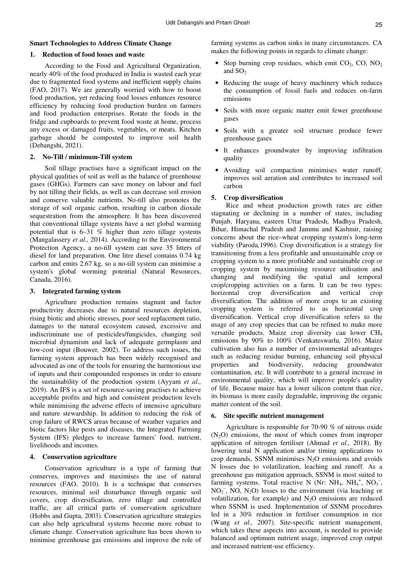## **Smart Technologies to Address Climate Change**

#### **1. Reduction of food losses and waste**

According to the Food and Agricultural Organization, nearly 40% of the food produced in India is wasted each year due to fragmented food systems and inefficient supply chains (FAO, 2017). We are generally worried with how to boost food production, yet reducing food losses enhances resource efficiency by reducing food production burden on farmers and food production enterprises. Rotate the foods in the fridge and cupboards to prevent food waste at home, process any excess or damaged fruits, vegetables, or meats. Kitchen garbage should be composted to improve soil health (Debangshi, 2021).

#### **2. No-Till / minimum-Till system**

Soil tillage practises have a significant impact on the physical qualities of soil as well as the balance of greenhouse gases (GHGs). Farmers can save money on labour and fuel by not tilling their fields, as well as can decrease soil erosion and conserve valuable nutrients. No-till also promotes the storage of soil organic carbon, resulting in carbon dioxide sequestration from the atmosphere. It has been discovered that conventional tillage systems have a net global warming potential that is 6–31 % higher than zero tillage systems (Mangalassery *et al.,* 2014). According to the Environmental Protection Agency, a no-till system can save 35 litters of diesel for land preparation. One litre diesel contains 0.74 kg carbon and emits 2.67 kg, so a no-till system can minimise a system's global worming potential (Natural Resources, Canada, 2016).

#### **3. Integrated farming system**

Agriculture production remains stagnant and factor productivity decreases due to natural resources depletion, rising biotic and abiotic stresses, poor seed replacement ratio, damages to the natural ecosystem caused, excessive and indiscriminate use of pesticides/fungicides, changing soil microbial dynamism and lack of adequate germplasm and low-cost input (Bouwer*,* 2002). To address such issues, the farming system approach has been widely recognised and advocated as one of the tools for ensuring the harmonious use of inputs and their compounded responses in order to ensure the sustainability of the production system (Ayyam *et al.,* 2019). An IFS is a set of resource-saving practises to achieve acceptable profits and high and consistent production levels while minimising the adverse effects of intensive agriculture and nature stewardship. In addition to reducing the risk of crop failure of RWCS areas because of weather vagaries and biotic factors like pests and diseases, the Integrated Farming System (IFS) pledges to increase farmers' food, nutrient, livelihoods and incomes.

#### **4. Conservation agriculture**

Conservation agriculture is a type of farming that conserves, improves and maximises the use of natural resources (FAO, 2010). It is a technique that conserves resources, minimal soil disturbance through organic soil covers, crop diversification, zero tillage and controlled traffic, are all critical parts of conservation agriculture (Hobbs and Gupta*,* 2003). Conservation agriculture strategies can also help agricultural systems become more robust to climate change. Conservation agriculture has been shown to minimise greenhouse gas emissions and improve the role of farming systems as carbon sinks in many circumstances. CA makes the following points in regards to climate change:

- Stop burning crop residues, which emit  $CO<sub>2</sub>$ ,  $CO<sub>2</sub>$ ,  $NO<sub>2</sub>$ and  $SO<sub>2</sub>$
- Reducing the usage of heavy machinery which reduces the consumption of fossil fuels and reduces on-farm emissions
- Soils with more organic matter emit fewer greenhouse gases
- Soils with a greater soil structure produce fewer greenhouse gases
- It enhances groundwater by improving infiltration quality
- Avoiding soil compaction minimises water runoff, improves soil aeration and contributes to increased soil carbon

#### **5. Crop diversification**

Rice and wheat production growth rates are either stagnating or declining in a number of states, including Punjab, Haryana, eastern Uttar Pradesh, Madhya Pradesh, Bihar, Himachal Pradesh and Jammu and Kashmir, raising concerns about the rice–wheat cropping system's long-term viability (Paroda*,*1996). Crop diversification is a strategy for transitioning from a less profitable and unsustainable crop or cropping system to a more profitable and sustainable crop or cropping system by maximising resource utilisation and changing and modifying the spatial and temporal crop/cropping activities on a farm. It can be two types: horizontal crop diversification and vertical crop diversification. The addition of more crops to an existing cropping system is referred to as horizontal crop diversification. Vertical crop diversification refers to the usage of any crop species that can be refined to make more versatile products. Maize crop diversity can lower CH<sup>4</sup> emissions by 90% to 100% (Venkateswarlu*,* 2016). Maize cultivation also has a number of environmental advantages such as reducing residue burning, enhancing soil physical properties and biodiversity, reducing groundwater contamination, etc. It will contribute to a general increase in environmental quality, which will improve people's quality of life. Because maize has a lower silicon content than rice, its biomass is more easily degradable, improving the organic matter content of the soil.

#### **6. Site specific nutrient management**

Agriculture is responsible for 70-90 % of nitrous oxide  $(N<sub>2</sub>O)$  emissions, the most of which comes from improper application of nitrogen fertiliser (Ahmad *et al.,* 2018). By lowering total N application and/or timing applications to crop demands, SSNM minimises  $N_2O$  emissions and avoids N losses due to volatilization, leaching and runoff. As a greenhouse gas mitigation approach, SSNM is most suited to farming systems. Total reactive N (Nr: NH<sub>3</sub>, NH<sub>4</sub><sup>+</sup>, NO<sub>3</sub><sup>-</sup>,  $NO<sub>2</sub>$ , NO, N<sub>2</sub>O) losses to the environment (via leaching or volatilization, for example) and  $N_2O$  emissions are reduced when SSNM is used. Implementation of SSNM procedures led in a 30% reduction in fertiliser consumption in rice (Wang *et al.,* 2007). Site-specific nutrient management, which takes these aspects into account, is needed to provide balanced and optimum nutrient usage, improved crop output and increased nutrient-use efficiency.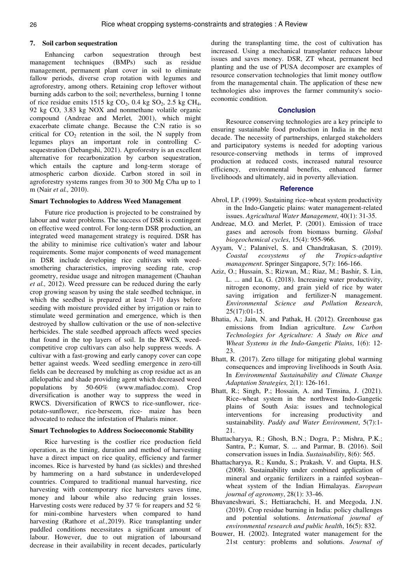#### **7. Soil carbon sequestration**

Enhancing carbon sequestration through best management techniques (BMPs) such as residue management, permanent plant cover in soil to eliminate fallow periods, diverse crop rotation with legumes and agroforestry, among others. Retaining crop leftover without burning adds carbon to the soil; nevertheless, burning 1 tonne of rice residue emits 1515 kg  $CO<sub>2</sub>$ , 0.4 kg  $SO<sub>2</sub>$ , 2.5 kg  $CH<sub>4</sub>$ , 92 kg CO, 3.83 kg NOX and nonmethane volatile organic compound (Andreae and Merlet*,* 2001), which might exacerbate climate change. Because the C:N ratio is so critical for  $CO<sub>2</sub>$  retention in the soil, the N supply from legumes plays an important role in controlling Csequestration (Debangshi, 2021). Agroforestry is an excellent alternative for recarbonization by carbon sequestration, which entails the capture and long-term storage of atmospheric carbon dioxide. Carbon stored in soil in agroforestry systems ranges from 30 to 300 Mg C/ha up to 1 m (Nair *et al.,* 2010).

#### **Smart Technologies to Address Weed Management**

Future rice production is projected to be constrained by labour and water problems. The success of DSR is contingent on effective weed control. For long-term DSR production, an integrated weed management strategy is required. DSR has the ability to minimise rice cultivation's water and labour requirements. Some major components of weed management in DSR include developing rice cultivars with weedsmothering characteristics, improving seeding rate, crop geometry, residue usage and nitrogen management (Chauhan *et al.,* 2012). Weed pressure can be reduced during the early crop growing season by using the stale seedbed technique, in which the seedbed is prepared at least 7-10 days before seeding with moisture provided either by irrigation or rain to stimulate weed germination and emergence, which is then destroyed by shallow cultivation or the use of non-selective herbicides. The stale seedbed approach affects weed species that found in the top layers of soil. In the RWCS, weedcompetitive crop cultivars can also help suppress weeds. A cultivar with a fast-growing and early canopy cover can cope better against weeds. Weed seedling emergence in zero-till fields can be decreased by mulching as crop residue act as an allelopathic and shade providing agent which decreased weed populations by 50-60% (www.mafiadoc.com). Crop diversification is another way to suppress the weed in RWCS. Diversification of RWCS to rice-sunflower, ricepotato-sunflower, rice-berseem, rice- maize has been advocated to reduce the infestation of Phalaris minor.

#### **Smart Technologies to Address Socioeconomic Stability**

Rice harvesting is the costlier rice production field operation, as the timing, duration and method of harvesting have a direct impact on rice quality, efficiency and farmer incomes. Rice is harvested by hand (as sickles) and threshed by hammering on a hard substance in underdeveloped countries. Compared to traditional manual harvesting, rice harvesting with contemporary rice harvesters saves time, money and labour while also reducing grain losses. Harvesting costs were reduced by 37 % for reapers and 52 % for mini-combine harvesters when compared to hand harvesting (Rathore et *al.,*2019). Rice transplanting under puddled conditions necessitates a significant amount of labour. However, due to out migration of laboursand decrease in their availability in recent decades, particularly

during the transplanting time, the cost of cultivation has increased. Using a mechanical transplanter reduces labour issues and saves money. DSR, ZT wheat, permanent bed planting and the use of PUSA decomposer are examples of resource conservation technologies that limit money outflow from the managemental chain. The application of these new technologies also improves the farmer community's socioeconomic condition.

## **Conclusion**

Resource conserving technologies are a key principle to ensuring sustainable food production in India in the next decade. The necessity of partnerships, enlarged stakeholders and participatory systems is needed for adopting various resource-conserving methods in terms of improved production at reduced costs, increased natural resource efficiency, environmental benefits, enhanced farmer livelihoods and ultimately, aid in poverty alleviation.

#### **Reference**

- Abrol, I.P. (1999). Sustaining rice–wheat system productivity in the Indo-Gangetic plains: water management-related issues. *Agricultural Water Management*, 40(1): 31-35.
- Andreae, M.O. and Merlet, P. (2001). Emission of trace gases and aerosols from biomass burning. *Global biogeochemical cycles*, 15(4): 955-966.
- Ayyam, V.; Palanivel, S. and Chandrakasan, S. (2019). *Coastal ecosystems of the Tropics-adaptive management*. Springer Singapore, 5(7): 166-166.
- Aziz, O.; Hussain, S.; Rizwan, M.; Riaz, M.; Bashir, S. Lin, L. ... and Lu, G. (2018). Increasing water productivity, nitrogen economy, and grain yield of rice by water saving irrigation and fertilizer-N management. *Environmental Science and Pollution Research*, 25(17):01-15.
- Bhatia, A.; Jain, N. and Pathak, H. (2012). Greenhouse gas emissions from Indian agriculture. *Low Carbon Technologies for Agriculture: A Study on Rice and Wheat Systems in the Indo-Gangetic Plains*, 1(6): 12- 23.
- Bhatt, R. (2017). Zero tillage for mitigating global warming consequences and improving livelihoods in South Asia. In *Environmental Sustainability and Climate Change Adaptation Strategies,* 2(1): 126-161.
- Bhatt, R.; Singh, P.; Hossain, A. and Timsina, J. (2021). Rice–wheat system in the northwest Indo-Gangetic plains of South Asia: issues and technological interventions for increasing productivity and sustainability. *Paddy and Water Environment*, 5(7):1- 21.
- Bhattacharyya, R.; Ghosh, B.N.; Dogra, P.; Mishra, P.K.; Santra, P.; Kumar, S. ... and Parmar, B. (2016). Soil conservation issues in India. *Sustainability*, 8(6): 565.
- Bhattacharyya, R.; Kundu, S.; Prakash, V. and Gupta, H.S. (2008). Sustainability under combined application of mineral and organic fertilizers in a rainfed soybean– wheat system of the Indian Himalayas. *European journal of agronomy*, 28(1): 33-46.
- Bhuvaneshwari, S.; Hettiarachchi, H. and Meegoda, J.N. (2019). Crop residue burning in India: policy challenges and potential solutions. *International journal of environmental research and public health*, 16(5): 832.
- Bouwer, H. (2002). Integrated water management for the 21st century: problems and solutions. *Journal of*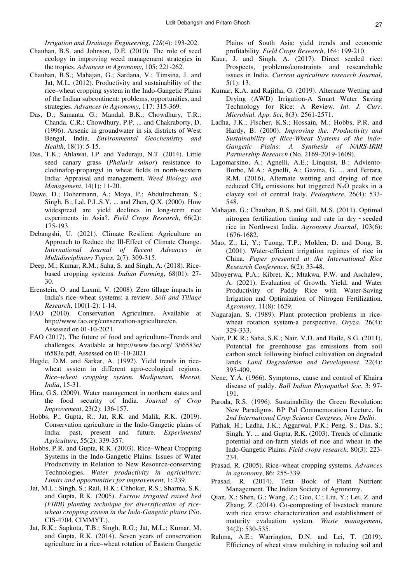*Irrigation and Drainage Engineering*, *128*(4): 193-202.

- Chauhan, B.S. and Johnson, D.E. (2010). The role of seed ecology in improving weed management strategies in the tropics. *Advances in Agronomy*, 105: 221-262.
- Chauhan, B.S.; Mahajan, G.; Sardana, V.; Timsina, J. and Jat, M.L. (2012). Productivity and sustainability of the rice–wheat cropping system in the Indo-Gangetic Plains of the Indian subcontinent: problems, opportunities, and strategies. *Advances in Agronomy*, 117: 315-369.
- Das, D.; Samanta, G.; Mandal, B.K.; Chowdhury, T.R.; Chanda, C.R.; Chowdhury, P.P. ... and Chakraborty, D. (1996). Arsenic in groundwater in six districts of West Bengal, India. *Environmental Geochemistry and Health*, 18(1): 5-15.
- Das, T.K.; Ahlawat, I.P. and Yaduraju, N.T. (2014). Little seed canary grass (*Phalaris minor*) resistance to clodinafop-propargyl in wheat fields in north-western India: Appraisal and management. *Weed Biology and Management*, 14(1): 11-20.
- Dawe, D.; Dobermann, A.; Moya, P.; Abdulrachman, S.; Singh, B.; Lal, P.L.S.Y. ... and Zhen, Q.X. (2000). How widespread are yield declines in long-term rice experiments in Asia?. *Field Crops Research*, 66(2): 175-193.
- Debangshi, U. (2021). Climate Resilient Agriculture an Approach to Reduce the Ill-Effect of Climate Change. *International Journal of Recent Advances in Multidisciplinary Topics*, 2(7): 309-315.
- Deep, M.; Kumar, R.M.; Saha, S. and Singh, A. (2018). Ricebased cropping systems. *Indian Farming*, 68(01): 27- 30.
- Erenstein, O. and Laxmi, V. (2008). Zero tillage impacts in India's rice–wheat systems: a review. *Soil and Tillage Research*, 100(1-2): 1-14.
- FAO (2010). Conservation Agriculture. Available at http://www.fao.org/conservation-agriculture/en. Assessed on 01-10-2021.
- FAO (2017). The future of food and agriculture–Trends and challenges. Available at http://www.fao.org/ 3/i6583e/ i6583e.pdf. Assessed on 01-10-2021.
- Hegde, D.M. and Sarkar, A. (1992). Yield trends in ricewheat system in different agro-ecological regions. *Rice–wheat cropping system. Modipuram, Meerut, India*, 15-31.
- Hira, G.S. (2009). Water management in northern states and the food security of India. *Journal of Crop Improvement*, 23(2): 136-157.
- Hobbs, P.; Gupta, R.; Jat, R.K. and Malik, R.K. (2019). Conservation agriculture in the Indo-Gangetic plains of India: past, present and future. *Experimental Agriculture*, 55(2): 339-357.
- Hobbs, P.R. and Gupta, R.K. (2003). Rice–Wheat Cropping Systems in the Indo-Gangetic Plains: Issues of Water Productivity in Relation to New Resource-conserving Technologies. *Water productivity in agriculture: Limits and opportunities for improvement*, 1: 239.
- Jat, M.L.; Singh, S.; Rail, H.K.; Chhokar, R.S.; Sharma, S.K. and Gupta, R.K. (2005). *Furrow irrigated raised bed (FIRB) planting technique for diversification of ricewheat cropping system in the Indo-Gangetic plains* (No. CIS-4704. CIMMYT.).
- Jat, R.K.; Sapkota, T.B.; Singh, R.G.; Jat, M.L.; Kumar, M. and Gupta, R.K. (2014). Seven years of conservation agriculture in a rice–wheat rotation of Eastern Gangetic

Plains of South Asia: yield trends and economic profitability. *Field Crops Research*, 164: 199-210.

- Kaur, J. and Singh, A. (2017). Direct seeded rice: Prospects, problems/constraints and researchable issues in India. *Current agriculture research Journal*, 5(1): 13.
- Kumar, K.A. and Rajitha, G. (2019). Alternate Wetting and Drying (AWD) Irrigation-A Smart Water Saving Technology for Rice: A Review. *Int. J. Curr. Microbial. App. Sci*, 8(3): 2561-2571.
- Ladha, J.K.; Fischer, K.S.; Hossain, M.; Hobbs, P.R. and Hardy, B. (2000). *Improving the. Productivity and Sustainability of Rice-Wheat Systems of the lndo-Gangetic Plains: A Synthesis of NARS-IRRI Partnership Research* (No. 2169-2019-1609).
- Lagomarsino, A.; Agnelli, A.E.; Linquist, B.; Adviento-Borbe, M.A.; Agnelli, A.; Gavina, G. ... and Ferrara, R.M. (2016). Alternate wetting and drying of rice reduced CH<sub>4</sub> emissions but triggered  $N_2O$  peaks in a clayey soil of central Italy. *Pedosphere*, 26(4): 533- 548.
- Mahajan, G.; Chauhan, B.S. and Gill, M.S. (2011). Optimal nitrogen fertilization timing and rate in dry‐seeded rice in Northwest India. *Agronomy Journal*, 103(6): 1676-1682.
- Mao, Z.; Li, Y.; Tuong, T.P.; Molden, D. and Dong, B. (2001). Water-efficient irrigation regimes of rice in China. *Paper presented at the International Rice Research Conference*, 6(2): 33-48.
- Mboyerwa, P.A.; Kibret, K.; Mtakwa, P.W. and Aschalew, A. (2021). Evaluation of Growth, Yield, and Water Productivity of Paddy Rice with Water-Saving Irrigation and Optimization of Nitrogen Fertilization. *Agronomy*, 11(8): 1629.
- Nagarajan, S. (1989). Plant protection problems in ricewheat rotation system-a perspective. *Oryza*, 26(4): 329-333.
- Nair, P.K.R.; Saha, S.K.; Nair, V.D. and Haile, S.G. (2011). Potential for greenhouse gas emissions from soil carbon stock following biofuel cultivation on degraded lands. *Land Degradation and Development*, 22(4): 395-409.
- Nene, Y.Á. (1966). Symptoms, cause and control of Khaira disease of paddy. *Bull Indian Phytopathol Soc*, 3: 97- 191.
- Paroda, R.S. (1996). Sustainability the Green Revolution: New Paradigms. BP Pal Commemoration Lecture. In *2nd International Crop Science Congress, New Delhi*.
- Pathak, H.; Ladha, J.K.; Aggarwal, P.K.; Peng, S.; Das, S.; Singh, Y. ... and Gupta, R.K. (2003). Trends of climatic potential and on-farm yields of rice and wheat in the Indo-Gangetic Plains. *Field crops research*, 80(3): 223- 234.
- Prasad, R. (2005). Rice–wheat cropping systems. *Advances in agronomy*, 86: 255-339.
- Prasad, R. (2014). Text Book of Plant Nutrient Management. The Indian Society of Agronomy.
- Qian, X.; Shen, G.; Wang, Z.; Guo, C.; Liu, Y.; Lei, Z. and Zhang, Z. (2014). Co-composting of livestock manure with rice straw: characterization and establishment of maturity evaluation system. *Waste management*, 34(2): 530-535.
- Rahma, A.E.; Warrington, D.N. and Lei, T. (2019). Efficiency of wheat straw mulching in reducing soil and